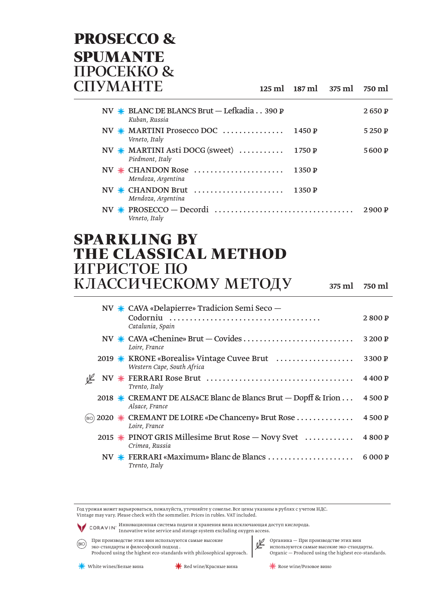#### **PROSECCO & SPUMANTE TIPOCEKKO & CITYMAHTE**

#### $125 \text{ ml}$   $187 \text{ ml}$ 375 ml 750 ml

| NV $\ast$ BLANC DE BLANCS Brut — Lefkadia 390 P<br>Kuban, Russia |        | 2650P  |
|------------------------------------------------------------------|--------|--------|
| NV $\frac{1}{N}$ MARTINI Prosecco DOC<br>Veneto, Italy           | 1450 P | 5250P  |
| NV $*$ MARTINI Asti DOCG (sweet)<br>Piedmont, Italy              | 1750 P | 5600 P |
| NV $*$ CHANDON Rose<br>Mendoza, Argentina                        | 1350P  |        |
| $NV$ $\frac{1}{N}$ CHANDON Brut<br>Mendoza, Argentina            | 1350P  |        |
| Veneto, Italy                                                    |        | 2900P  |

#### **SPARKLING BY** THE CLASSICAL METHOD ИГРИСТОЕ ПО КЛАССИЧЕСКОМУ МЕТОДУ

375 ml 750 ml

|       |  | NV * CAVA «Delapierre» Tradicion Semi Seco –                                    |         |
|-------|--|---------------------------------------------------------------------------------|---------|
|       |  | Catalunia, Spain                                                                | 2800P   |
|       |  | Loire, France                                                                   | 3 200 P |
|       |  | 2019 * KRONE «Borealis» Vintage Cuvee Brut<br>Western Cape, South Africa        | 3300 P  |
|       |  | Trento, Italy                                                                   | 4400 P  |
|       |  | 2018 * CREMANT DE ALSACE Blanc de Blancs Brut — Dopff & Irion<br>Alsace, France | 4500 P  |
| (BIO) |  | 2020 * CREMANT DE LOIRE «De Chanceny» Brut Rose<br>Loire, France                | 4500 P  |
|       |  | 2015 $*$ PINOT GRIS Millesime Brut Rose — Novy Svet<br>Crimea, Russia           | 4800 P  |
|       |  | NV * FERRARI «Maximum» Blanc de Blancs<br>Trento. Italv                         | 6 000 P |

Год урожая может варьироваться, пожалуйста, уточняйте у сомелье. Все цены указаны в рублях с учетом НДС. Vintage may vary. Please check with the sommelier. Prices in rubles. VAT included.

CORAVIN<sup>,</sup> Инновационная система подачи и хранения вина исключающая доступ кислорода.<br>СОРАУ Innovative wine service and storage system excluding oxygen access.





© Органика — При производстве этих вин используются самые высокие эко-стандарты. Organic - Produced using the highest eco-standards.

```
\frac{1}{\sqrt{2}} Rose wine/Розовое вино
```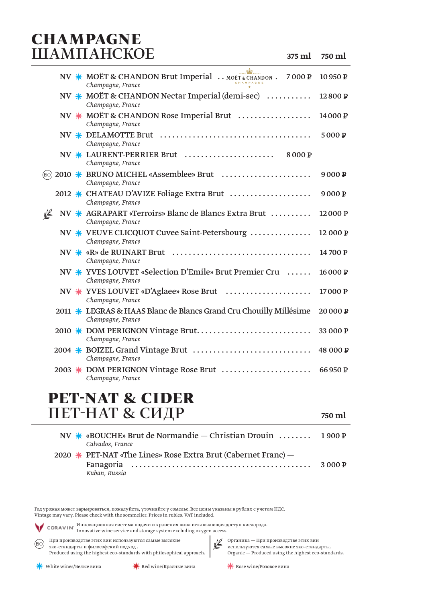#### **CHAMPAGNE** ШАМПАНСКОЕ

750 ml

|       |  | NV * MOËT & CHANDON Brut Imperial  MOËT & CHANDON . 7000 P<br>Champagne, France         | 10950 P            |
|-------|--|-----------------------------------------------------------------------------------------|--------------------|
|       |  | NV $*$ MOËT & CHANDON Nectar Imperial (demi-sec) $\dots\dots\dots$<br>Champagne, France | 12800P             |
|       |  | NV $*$ MOËT & CHANDON Rose Imperial Brut $\ldots$<br>Champagne, France                  | 14000 P            |
|       |  | Champagne, France                                                                       | 5000 P             |
|       |  | Champagne, France                                                                       |                    |
| (BIO) |  | 2010 * BRUNO MICHEL «Assemblee» Brut<br>Champagne, France                               | 9000P              |
|       |  | Champagne, France                                                                       | 9000P              |
| ⊯     |  | NV * AGRAPART «Terroirs» Blanc de Blancs Extra Brut<br>Champagne, France                | 12000 <sub>P</sub> |
|       |  | NV $*$ VEUVE CLICQUOT Cuvee Saint-Petersbourg<br>Champagne, France                      | 12 000 P           |
|       |  | Champagne, France                                                                       | 14700 P            |
|       |  | NV <u>*</u> YVES LOUVET «Selection D'Emile» Brut Premier Cru<br>Champagne, France       | 16000P             |
|       |  | NV * YVES LOUVET «D'Aglaee» Rose Brut<br>Champagne, France                              | 17000 P            |
|       |  | 2011 * LEGRAS & HAAS Blanc de Blancs Grand Cru Chouilly Millésime<br>Champagne, France  | 20000P             |
|       |  | 2010 * DOM PERIGNON Vintage Brut<br>Champagne, France                                   | 33 000 P           |
|       |  | Champagne, France                                                                       | 48 000 P           |
|       |  | 2003 * DOM PERIGNON Vintage Rose Brut<br>Champagne, France                              | 66950 P            |

#### **PET-NAT & CIDER** ПЕТ-НАТ & СИДР

| NV * «BOUCHE» Brut de Normandie - Christian Drouin  1900 P<br>Calvados, France |        |
|--------------------------------------------------------------------------------|--------|
| 2020 $\ast$ PET-NAT «The Lines» Rose Extra Brut (Cabernet Franc) –             |        |
| Kuban, Russia                                                                  | 3000 P |

Год урожая может варьироваться, пожалуйста, уточняйте у сомелье. Все цены указаны в рублях с учетом НДС. Vintage may vary. Please check with the sommelier. Prices in rubles. VAT included.

CORAVIN<sup>,</sup> Инновационная система подачи и хранения вина исключающая доступ кислорода.<br>
— CORAVIN<sup>,</sup> Innovative wine service and storage system excluding oxygen access.

(BIO) При производстве этих вин используются самые высокие эко-стандарты и философский подход. Produced using the highest eco-standards with philosophical approach.

Органика — При производстве этих вин<br>используются самые высокие эко-стандарты.  $\label{eq:optimal} \textsc{Organic} - \textsc{Produced using the highest eco-standards.}$ 

 $\frac{1}{\sqrt{2}}$  Rose wine/Розовое вино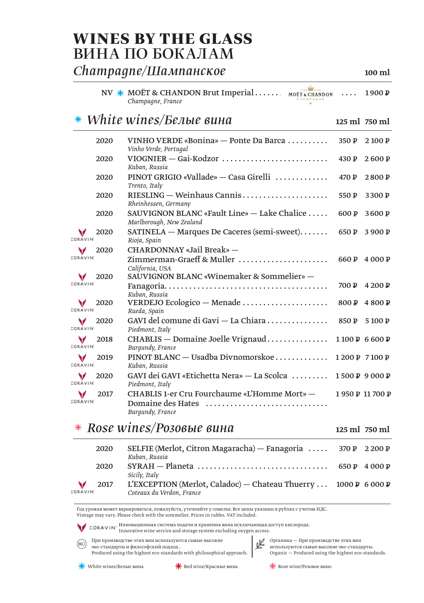#### **WINES BY THE GLASS** ВИНА ПО БОКАЛАМ

#### Сһатрадпе/Шампанское

ah NV \* MOËT & CHANDON Brut Imperial....... MOËT & CHANDON 1900 P  $\ddot{\phantom{a}}$ Champagne, France

#### $*$  White wines/Белые вина

| 2020                    | VINHO VERDE «Bonina» — Ponte Da Barca<br>Vinho Verde, Portugal                        | 350 P   | 2100 P         |
|-------------------------|---------------------------------------------------------------------------------------|---------|----------------|
| 2020                    | VIOGNIER - Gai-Kodzor<br>Kuban, Russia                                                | 430P    | 2600P          |
| 2020                    | PINOT GRIGIO «Vallade» — Casa Girelli<br>Trento, Italy                                | 470 P   | 2800P          |
| 2020                    | RIESLING — Weinhaus Cannis<br>Rheinhessen, Germany                                    | 550 $P$ | 3300 P         |
| 2020                    | SAUVIGNON BLANC «Fault Line» $-$ Lake Chalice $\ldots$ .<br>Marlborough, New Zealand  | 600 P   | 3600 P         |
| 2020<br>CORAVIN         | $SATINELA - Marques$ De Caceres (semi-sweet)<br>Rioja, Spain                          | 650 P   | 3 900 P        |
| v<br>2020<br>CORAVIN    | CHARDONNAY «Jail Break» -<br>Zimmerman-Graeff & Muller<br>California, USA             |         | 660 P 4 000 P  |
| 2020<br>CORAVIN         | SAUVIGNON BLANC «Winemaker & Sommelier» -<br>Kuban, Russia                            | 700 P   | 4 200 P        |
| 2020<br>v<br>CORAVIN'   | VERDEJO Ecologico — Menade $\dots\dots\dots\dots\dots\dots\dots$<br>Rueda, Spain      | 800 P   | 4800 P         |
| 2020<br>CORAVIN         | GAVI del comune di Gavi - La Chiara<br>Piedmont, Italy                                | 850 P   | 5 100 P        |
| 2018<br>CORAVIN'        | CHABLIS — Domaine Joelle Vrignaud<br>Burgundy, France                                 |         | 1100 P 6600 P  |
| v<br>2019<br>CORAVIN'   | PINOT BLANC — Usadba Divnomorskoe<br>Kuban, Russia                                    |         | 1200 P 7100 P  |
| 2020<br>v<br>CORAVIN    | GAVI dei GAVI «Etichetta Nera» — La Scolca<br>Piedmont, Italy                         |         | 1500 P 9000 P  |
| 2017<br><b>CORAVIN'</b> | CHABLIS 1-er Cru Fourchaume «L'Homme Mort» –<br>Domaine des Hates<br>Burgundy, France |         | 1950 P 11700 P |

#### $*$  Rose wines/Poзoвые вина

125 ml 750 ml

| 2020             | SELFIE (Merlot, Citron Magaracha) — Fanagoria $\ldots$ 370 P 2 200 P<br>Kuban, Russia        |              |
|------------------|----------------------------------------------------------------------------------------------|--------------|
| 2020             | $SYRAH - Planeta$<br>Sicily, Italy                                                           | 650 P 4000 P |
| 2017<br>CORAVIN' | L'EXCEPTION (Merlot, Caladoc) — Chateau Thuerry  1000 P 6 000 P<br>Coteaux du Verdon, France |              |

Год урожая может варьироваться, пожалуйста, уточняйте у сомелье. Все цены указаны в рублях с учетом НДС. Vintage may vary. Please check with the sommelier. Prices in rubles. VAT included.

CORAVIN<sup>,</sup> Инновационная система подачи и хранения вина исключающая доступ кислорода.<br>CORAVIN<sup>,</sup> Innovative wine service and storage system excluding oxygen access.

При производстве этих вин используются самые высокие  $(BIO)$ эко-стандарты и философский подход. Produced using the highest eco-standards with philosophical approach.



© Органика — При производстве этих вин используются самые высокие эко-стандарты. Organic - Produced using the highest eco-standards.

Red wine/Красные вина

 $\frac{1}{\sqrt{2}}$  Rose wine/Розовое вино

 $100 \text{ ml}$ 

125 ml 750 ml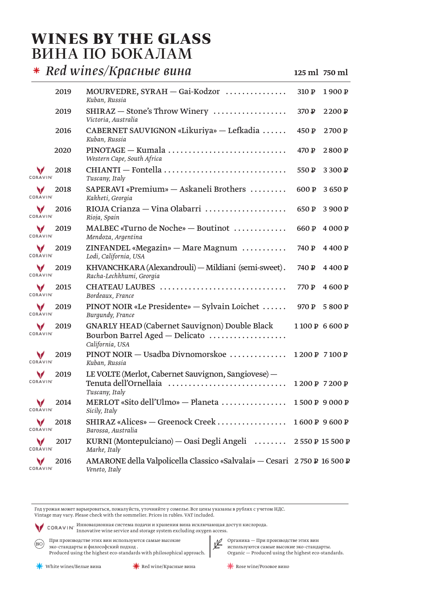#### **WINES BY THE GLASS** ВИНА ПО БОКАЛАМ

 $*$  Red wines/Красные вина

125 ml 750 ml

|                      | 2019 | $MOURVEDRE, SYRAH - Gai-Kodzor$<br>Kuban, Russia                                                          | 310P  | 1900 P        |
|----------------------|------|-----------------------------------------------------------------------------------------------------------|-------|---------------|
|                      | 2019 | SHIRAZ — Stone's Throw Winery<br>Victoria, Australia                                                      | 370 P | 2200 P        |
|                      | 2016 | CABERNET SAUVIGNON «Likuriya» — Lefkadia<br>Kuban, Russia                                                 | 450 P | 2700 P        |
|                      | 2020 | $PINOTAGE - Kumala \ldots \ldots \ldots \ldots \ldots \ldots \ldots \ldots$<br>Western Cape, South Africa | 470 P | 2800P         |
| CORAVIN              | 2018 | CHIANTI — Fontella<br>Tuscany, Italy                                                                      | 550 P | 3 300 P       |
| v<br>CORAVIN         | 2018 | SAPERAVI «Premium» - Askaneli Brothers<br>Kakheti, Georgia                                                | 600 P | 3650 P        |
| v<br>CORAVIN'        | 2016 | RIOJA Crianza — Vina Olabarri<br>Rioja, Spain                                                             | 650 P | 3 900 P       |
| v<br><b>CORAVIN'</b> | 2019 | MALBEC «Turno de Noche» — Boutinot<br>Mendoza, Argentina                                                  | 660 P | 4 000 P       |
| v<br><b>CORAVIN'</b> | 2019 | ZINFANDEL «Megazin» — Mare Magnum<br>Lodi, California, USA                                                | 740 P | 4400P         |
| v<br>CORAVIN'        | 2019 | KHVANCHKARA (Alexandrouli) - Mildiani (semi-sweet).<br>Racha-Lechkhumi, Georgia                           | 740 P | 4400P         |
| v<br>CORAVIN         | 2015 | CHATEAU LAUBES<br>Bordeaux, France                                                                        | 770 P | 4600 P        |
| v<br>CORAVIN'        | 2019 | PINOT NOIR «Le Presidente» — Sylvain Loichet<br>Burgundy, France                                          | 970 P | 5800P         |
| v<br>CORAVIN'        | 2019 | <b>GNARLY HEAD (Cabernet Sauvignon) Double Black</b><br>Bourbon Barrel Aged - Delicato<br>California, USA |       | 1100 P 6600 P |
| v<br><b>CORAVIN'</b> | 2019 | PINOT NOIR — Usadba Divnomorskoe<br>Kuban, Russia                                                         |       | 1200 P 7100 P |
| v<br>CORAVIN'        | 2019 | LE VOLTE (Merlot, Cabernet Sauvignon, Sangiovese) -<br>Tenuta dell'Ornellaia<br>Tuscany, Italy            |       | 1200 P 7200 P |
| v<br><b>CORAVIN'</b> | 2014 | MERLOT «Sito dell'Ulmo» - Planeta  1500 P 9 000 P<br>Sicily, Italy                                        |       |               |
| CORAVIN              | 2018 | SHIRAZ «Alices» - Greenock Creek<br>Barossa, Australia                                                    |       | 1600 P 9600 P |
| CORAVIN              | 2017 | KURNI (Montepulciano) — Oasi Degli Angeli $ \dots 2550 P 15500 P$<br>Marke, Italy                         |       |               |
| CORAVI               | 2016 | AMARONE della Valpolicella Classico «Salvalai» - Cesari 2750 P 16 500 P<br>Veneto, Italy                  |       |               |

Год урожая может варьироваться, пожалуйста, уточняйте у сомелье. Все цены указаны в рублях с учетом НДС. Vintage may vary. Please check with the sommelier. Prices in rubles. VAT included.

CORAVIN<sup>,</sup> Инновационная система подачи и хранения вина исключающая доступ кислорода.<br>
— CORAVIN<sup>,</sup> Innovative wine service and storage system excluding oxygen access.

 $\widehat{\text{(BO)}}$  При производстве этих вин используются самые высокие эко-стандарты и философский подход. Produced using the highest eco-standards with philosophical approach.

Органика — При производстве этих вин<br>используются самые высокие эко-стандарты. Organic - Produced using the highest eco-standards.

 $\frac{1}{2}$  Rose wine/Розовое вино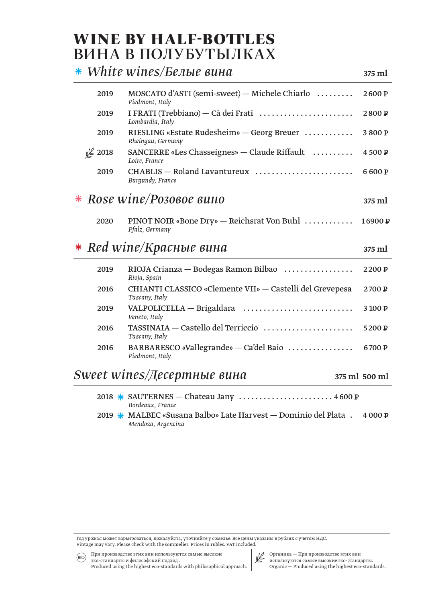#### **WINE BY HALF-BOTTLES** ВИНА В ПОЛУБУТЫЛКАХ

|         | $*$ White wines/Белые вина                                                           | 375 ml        |
|---------|--------------------------------------------------------------------------------------|---------------|
| 2019    | $MOSCATO$ d'ASTI (semi-sweet) — Michele Chiarlo $\ldots \ldots$<br>Piedmont, Italy   | 2600P         |
| 2019    | I FRATI (Trebbiano) - Cà dei Frati<br>Lombardia, Italy                               | 2800P         |
| 2019    | RIESLING «Estate Rudesheim» - Georg Breuer<br>Rheingau, Germany                      | 3800P         |
| \$ 2018 | SANCERRE «Les Chasseignes» — Claude Riffault<br>Loire, France                        | 4500 P        |
| 2019    | CHABLIS - Roland Lavantureux<br>Burgundy, France                                     | 6600P         |
|         | Rose wine/Розовое вино                                                               | 375 ml        |
| 2020    | PINOT NOIR «Bone Dry» — Reichsrat Von Buhl<br>Pfalz, Germany                         | 16900P        |
|         | $*$ Red wine/Красные вина                                                            | 375 ml        |
| 2019    | $RIOJA$ Crianza — Bodegas Ramon Bilbao $\ldots \ldots \ldots \ldots$<br>Rioja, Spain | 2200 P        |
| 2016    | CHIANTI CLASSICO «Clemente VII» — Castelli del Grevepesa<br>Tuscany, Italy           | 2700 P        |
| 2019    | VALPOLICELLA — Brigaldara<br>Veneto, Italy                                           | 3 100 P       |
| 2016    | TASSINAIA - Castello del Terriccio<br>Tuscany, Italy                                 | 5200 P        |
| 2016    | BARBARESCO «Vallegrande» — Ca'del Baio<br>Piedmont, Italy                            | 6700 P        |
|         | $Sweet\,wines/Lecepmhbe\,suha$                                                       | 375 ml 500 ml |

- 2018 \* SAUTERNES Chateau Jany ......................... 4600 P Bordeaux, France
- 2019 \* MALBEC «Susana Balbo» Late Harvest Dominio del Plata : 4000 P Mendoza, Argentina

Год урожая может варьироваться, пожалуйста, уточняйте у сомелье. Все цены указаны в рублях с учетом НДС. Vintage may vary. Please check with the sommelier. Prices in rubles. VAT included.



Органика — При производстве этих вин<br>используются самые высокие эко-стандарты. Organic - Produced using the highest eco-standards.

эко-стандарты и философский подход. Produced using the highest eco-standards with philosophical approach.

При производстве этих вин используются самые высокие

 $(BIO)$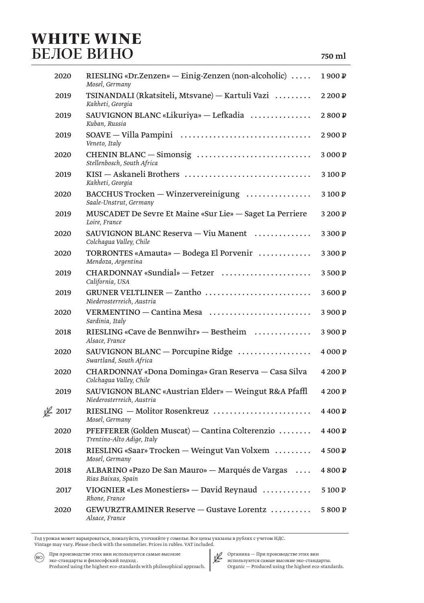#### **WHITE WINE** БЕЛОЕ ВИНО

| 2020    | RIESLING «Dr. Zenzen» — Einig-Zenzen (non-alcoholic) $\dots$<br>Mosel, Germany                | 1900 <sub>P</sub> |
|---------|-----------------------------------------------------------------------------------------------|-------------------|
| 2019    | TSINANDALI (Rkatsiteli, Mtsvane) – Kartuli Vazi<br>Kakheti, Georgia                           | 2200 P            |
| 2019    | SAUVIGNON BLANC «Likuriya» — Lefkadia<br>Kuban, Russia                                        | 2800P             |
| 2019    | Veneto, Italy                                                                                 | 2900P             |
| 2020    | Stellenbosch, South Africa                                                                    | 3 000 P           |
| 2019    | KISI — Askaneli Brothers<br>Kakheti, Georgia                                                  | 3100P             |
| 2020    | BACCHUS Trocken - Winzervereinigung<br>Saale-Unstrut, Germany                                 | 3100P             |
| 2019    | MUSCADET De Sevre Et Maine «Sur Lie» — Saget La Perriere<br>Loire, France                     | 3200P             |
| 2020    | SAUVIGNON BLANC Reserva - Viu Manent<br>Colchaqua Valley, Chile                               | 3300 P            |
| 2020    | TORRONTES «Amauta» - Bodega El Porvenir<br>Mendoza, Argentina                                 | 3300P             |
| 2019    | $CHARDONNAY$ «Sundial» - Fetzer<br>California, USA                                            | 3500P             |
| 2019    | GRUNER VELTLINER - Zantho<br>Niederosterreich, Austria                                        | 3600P             |
| 2020    | VERMENTINO — Cantina Mesa<br>Sardinia, Italy                                                  | 3 900 P           |
| 2018    | RIESLING «Cave de Bennwihr» — Bestheim<br>Alsace, France                                      | 3900P             |
| 2020    | SAUVIGNON BLANC — Porcupine Ridge $\dots\dots\dots\dots\dots\dots$<br>Swartland, South Africa | 4000P             |
| 2020    | CHARDONNAY «Dona Dominga» Gran Reserva — Casa Silva<br>Colchaqua Valley, Chile                | 4 200 P           |
| 2019    | SAUVIGNON BLANC «Austrian Elder» — Weingut R&A Pfaffl<br>Niederosterreich, Austria            | 4 200 P           |
| \$ 2017 | RIESLING - Molitor Rosenkreuz<br>Mosel, Germany                                               | 4400 P            |
| 2020    | PFEFFERER (Golden Muscat) - Cantina Colterenzio<br>Trentino-Alto Adige, Italy                 | 4400 P            |
| 2018    | RIESLING «Saar» Trocken — Weingut Van Volxem<br>Mosel, Germany                                | 4500 P            |
| 2018    | ALBARINO «Pazo De San Mauro» — Marqués de Vargas<br>Rias Baixas, Spain                        | 4800P             |
| 2017    | VIOGNIER «Les Monestiers» - David Reynaud<br>Rhone, France                                    | 5100P             |
| 2020    | GEWURZTRAMINER Reserve – Gustave Lorentz<br>Alsace, France                                    | 5800P             |

Год урожая может варьироваться, пожалуйста, уточняйте у сомелье. Все цены указаны в рублях с учетом НДС. Vintage may vary. Please check with the sommelier. Prices in rubles. VAT included.

При производстве этих вин используются самые высокие  $(BIO)$ эко-стандарты и философский подход. Produced using the highest eco-standards with philosophical approach.

Органика — При производстве этих вин<br>используются самые высокие эко-стандарты.

 $\label{eq:optimal} \textsc{Organic} - \textsc{Produced} \text{ using the highest eco-standards.}$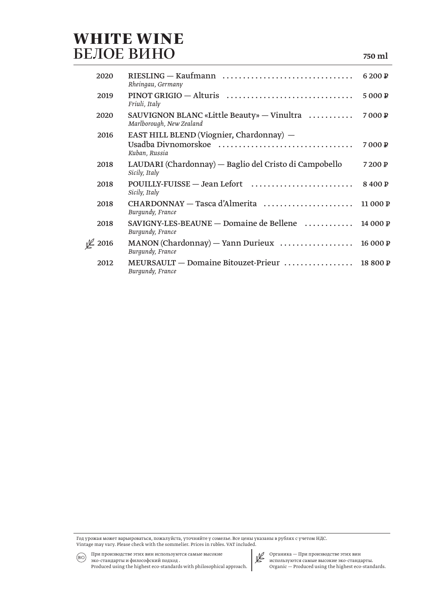#### **WHITE WINE** БЕЛОЕ ВИНО

| 2020                       | RIESLING — Kaufmann<br>Rheingau, Germany                                                 | 6200 P   |
|----------------------------|------------------------------------------------------------------------------------------|----------|
| 2019                       | Friuli, Italy                                                                            | 5000P    |
| 2020                       | SAUVIGNON BLANC «Little Beauty» — Vinultra $\dots\dots\dots$<br>Marlborough, New Zealand | 7000P    |
| 2016                       | EAST HILL BLEND (Viognier, Chardonnay) -<br>Usadba Divnomorskoe                          | 7000P    |
|                            | Kuban, Russia                                                                            |          |
| 2018                       | LAUDARI (Chardonnay) — Baglio del Cristo di Campobello<br>Sicily, Italy                  | 7200 P   |
| 2018                       | POUILLY-FUISSE - Jean Lefort<br>Sicily, Italy                                            | 8400P    |
| 2018                       | Burgundy, France                                                                         | 11 000 P |
| 2018                       | SAVIGNY-LES-BEAUNE — Domaine de Bellene<br>Burgundy, France                              | 14 000 P |
| $\cancel{\mathbb{C}}$ 2016 | $MANON$ (Chardonnay) — Yann Durieux $\ldots \ldots \ldots \ldots$<br>Burgundy, France    | 16 000 P |
| 2012                       | MEURSAULT – Domaine Bitouzet-Prieur<br>Burgundy, France                                  | 18 800 P |

Год урожая может варьироваться, пожалуйста, уточняйте у сомелье. Все цены указаны в рублях с учетом НДС. Vintage may vary. Please check with the sommelier. Prices in rubles. VAT included. (BO) При производстве этих вин используются самые высокие

эко-стандарты и философский подход . Produced using the highest eco-standards with philosophical approach.

Органика — При производстве этих вин<br>используются самые высокие эко-стандарты.  $\label{eq:optimal} \text{Organic} - \text{Produced using the highest eco-standards.}$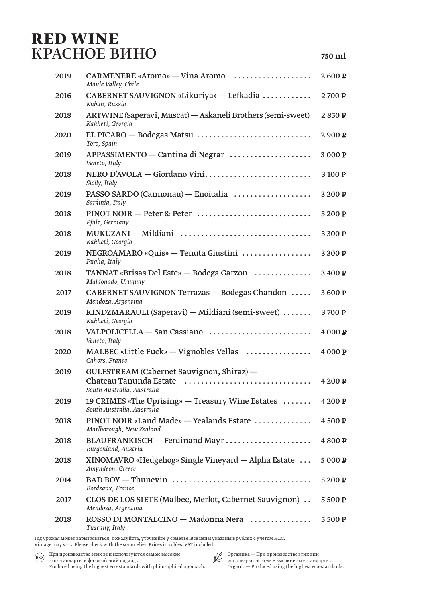#### **RED WINE** КРАСНОЕ ВИНО

| 2019 | CARMENERE «Aromo» — Vina Aromo<br>Maule Valley, Chile                                                           | 2600P   |
|------|-----------------------------------------------------------------------------------------------------------------|---------|
| 2016 | CABERNET SAUVIGNON «Likuriya» — Lefkadia<br>Kuban, Russia                                                       | 2700 P  |
| 2018 | ARTWINE (Saperavi, Muscat) - Askaneli Brothers (semi-sweet)<br>Kakheti, Georgia                                 | 2850P   |
| 2020 | EL PICARO — Bodegas Matsu<br>Toro, Spain                                                                        | 2900 P  |
| 2019 | APPASSIMENTO — Cantina di Negrar<br>Veneto, Italy                                                               | 3000P   |
| 2018 | NERO D'AVOLA - Giordano Vini<br>Sicily, Italy                                                                   | 3100P   |
| 2019 | PASSO SARDO (Cannonau) - Enoitalia<br>Sardinia, Italy                                                           | 3 200 P |
| 2018 | PINOT NOIR - Peter & Peter<br>Pfalz, Germany                                                                    | 3 200 P |
| 2018 | MUKUZANI - Mildiani<br>Kakheti, Georgia                                                                         | 3300 P  |
| 2019 | NEGROAMARO «Quis» — Tenuta Giustini<br>Puglia, Italy                                                            | 3 300 P |
| 2018 | TANNAT «Brisas Del Este» — Bodega Garzon<br>Maldonado, Uruguay                                                  | 3400 P  |
| 2017 | CABERNET SAUVIGNON Terrazas - Bodegas Chandon<br>Mendoza, Argentina                                             | 3600P   |
| 2019 | KINDZMARAULI (Saperavi) – Mildiani (semi-sweet)<br>Kakheti, Georgia                                             | 3700P   |
| 2018 | VALPOLICELLA - San Cassiano<br>Veneto, Italy                                                                    | 4000P   |
| 2020 | MALBEC «Little Fuck» — Vignobles Vellas<br>Cahors, France                                                       | 4 000 P |
| 2019 | GULFSTREAM (Cabernet Sauvignon, Shiraz) -                                                                       |         |
|      | Chateau Tanunda Estate<br>South Australia, Australia                                                            | 4 200 P |
| 2019 | 19 CRIMES «The Uprising» — Treasury Wine Estates<br>South Australia, Australia                                  | 4 200 P |
| 2018 | PINOT NOIR «Land Made» - Yealands Estate<br>Marlborough, New Zealand                                            | 4500 P  |
| 2018 | Burgenland, Austria                                                                                             | 4800P   |
| 2018 | XINOMAVRO «Hedgehog» Single Vineyard — Alpha Estate<br>Amyndeon, Greece                                         | 5000P   |
| 2014 | BAD BOY — Thunevin $\dots\dots\dots\dots\dots\dots\dots\dots\dots\dots\dots\dots\dots\dots$<br>Bordeaux, France | 5200P   |
| 2017 | CLOS DE LOS SIETE (Malbec, Merlot, Cabernet Sauvignon)<br>Mendoza, Argentina                                    | 5500P   |
| 2018 | ROSSO DI MONTALCINO - Madonna Nera<br>Tuscany Italy                                                             | 5500 P  |

Год урожая может варьироваться, пожалуйста, уточняйте у сомелье. Все цены указаны в рублях с учетом НДС. Vintage may vary. Please check with the sommelier. Prices in rubles. VAT included.

При производстве этих вин используются самые высокие  $(BIO)$ эко-стандарты и философский подход. Produced using the highest eco-standards with philosophical approach.

Органика — При производстве этих вин<br>используются самые высокие эко-стандарты.  $\label{eq:optimal} \textsc{Organic} - \textsc{Produced} \text{ using the highest eco-standards.}$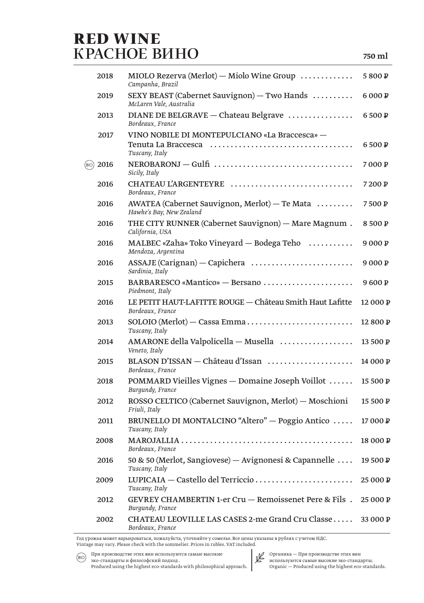### **RED WINE** КРАСНОЕ ВИНО

| 2018          | MIOLO Rezerva (Merlot) — Miolo Wine Group<br>Campanha, Brazil                                                                                                                    | 5800P    |
|---------------|----------------------------------------------------------------------------------------------------------------------------------------------------------------------------------|----------|
| 2019          | SEXY BEAST (Cabernet Sauvignon) $-$ Two Hands<br>McLaren Vale, Australia                                                                                                         | 6 000 P  |
| 2013          | DIANE DE BELGRAVE - Chateau Belgrave<br>Bordeaux, France                                                                                                                         | 6500P    |
| 2017          | VINO NOBILE DI MONTEPULCIANO «La Braccesca» -<br>Tenuta La Braccesca (alteraccession) alternativa de Tenuta La Braccesca (alternaccession) alternaces de la Br<br>Tuscany, Italy | 6500P    |
| 2016<br>(BIO) | NEROBARONJ - Gulfi<br>Sicily, Italy                                                                                                                                              | 7000P    |
| 2016          | CHATEAU L'ARGENTEYRE<br>Bordeaux, France                                                                                                                                         | 7200P    |
| 2016          | AWATEA (Cabernet Sauvignon, Merlot) - Te Mata<br>Hawke's Bay, New Zealand                                                                                                        | 7500 P   |
| 2016          | THE CITY RUNNER (Cabernet Sauvignon) — Mare Magnum.<br>California, USA                                                                                                           | 8500 P   |
| 2016          | MALBEC «Zaha» Toko Vineyard — Bodega Teho $\ldots \ldots \ldots$<br>Mendoza, Argentina                                                                                           | 9000P    |
| 2016          | Sardinia, Italy                                                                                                                                                                  | 9 000 P  |
| 2015          | BARBARESCO «Mantico» - Bersano<br>Piedmont, Italy                                                                                                                                | 9600P    |
| 2016          | LE PETIT HAUT-LAFITTE ROUGE - Château Smith Haut Lafitte<br>Bordeaux, France                                                                                                     | 12 000 P |
| 2013          | Tuscany, Italy                                                                                                                                                                   | 12 800 P |
| 2014          | AMARONE della Valpolicella - Musella<br>Veneto, Italy                                                                                                                            | 13 500 P |
| 2015          | BLASON D'ISSAN — Château d'Issan<br>Bordeaux, France                                                                                                                             | 14 000 P |
| 2018          | POMMARD Vieilles Vignes - Domaine Joseph Voillot<br>Burgundy, France                                                                                                             | 15 500 P |
| 2012          | ROSSO CELTICO (Cabernet Sauvignon, Merlot) - Moschioni 15 500 P<br>Friuli, Italy                                                                                                 |          |
| 2011          | BRUNELLO DI MONTALCINO "Altero" — Poggio Antico<br>Tuscany, Italy                                                                                                                | 17000P   |
| 2008          | Bordeaux, France                                                                                                                                                                 | 18 000 P |
| 2016          | 50 & 50 (Merlot, Sangiovese) — Avignonesi & Capannelle<br>Tuscany, Italy                                                                                                         | 19 500 P |
| 2009          | LUPICAIA — Castello del Terriccio<br>Tuscany, Italy                                                                                                                              | 25 000 P |
| 2012          | GEVREY CHAMBERTIN 1-er Cru - Remoissenet Pere & Fils.<br>Burgundy, France                                                                                                        | 25 000 P |
| 2002          | CHATEAU LEOVILLE LAS CASES 2-me Grand Cru Classe<br>Bordeaux, France                                                                                                             | 33 000 P |

Год урожая может варьироваться, пожалуйста, уточняйте у сомелье. Все цены указаны в рублях с учетом НДС.

Vintage may vary. Please check with the sommelier. Prices in rubles. VAT included.

(BO) При производстве этих вин используются самые высокие эко-стандарты и философский подход. Produced using the highest eco-standards with philosophical approach.



Органика — При производстве этих вин<br>используются самые высокие эко-стандарты.

 $\label{eq:optimal} \text{Organic} - \text{Produced using the highest eco-standards.}$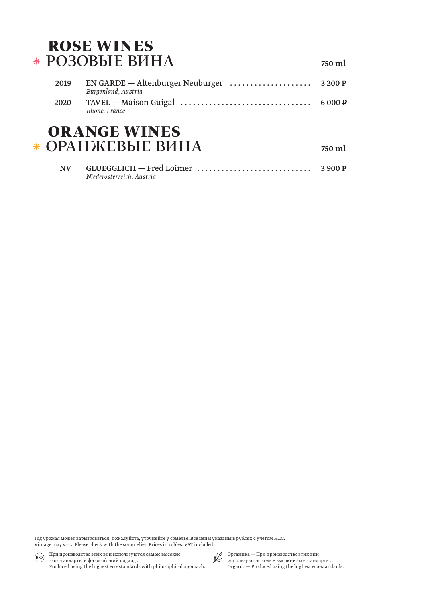#### **ROSE WINES \* РОЗОВЫЕ ВИНА**

2019 EN GARDE - Altenburger Neuburger .................... 3 200 P Burgenland, Austria 2020 TAVEL - Maison Guigal .................................. 6000P Rhone, France

750 ml

750 ml

#### **ORANGE WINES** ОРАНЖЕВЫЕ ВИНА \*

| Niederosterreich. Austria |  |
|---------------------------|--|

Год урожая может варьироваться, пожалуйста, уточняйте у сомелье. Все цены указаны в рублях с учетом НДС. Vintage may vary. Please check with the sommelier. Prices in rubles. VAT included.

При производстве этих вин используются самые высокие  $(BIO)$ эко-стандарты и философский подход. Produced using the highest eco-standards with philosophical approach.

Органика — При производстве этих вин<br>используются самые высокие эко-стандарты.  $\label{eq:optimal} \text{Organic} - \text{Produced using the highest eco-standards.}$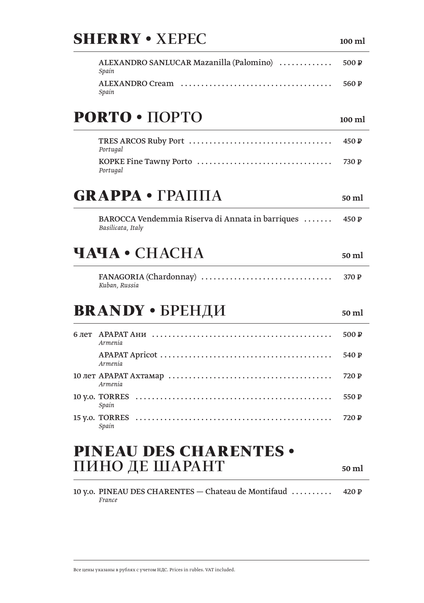# **SHERRY . XEPEC**

ALEXANDRO SANLUCAR Mazanilla (Palomino) ............  $500P$ Spain 560 P Spain

# PORTO . HOPTO

 $450P$ Portugal 730 P Portugal

# $GRAPPA \cdot \Gamma PATH A$

BAROCCA Vendemmia Riserva di Annata in barriques ....... 450 $\mathbb{P}$ Basilicata, Italy

#### ЧАЧА • СНАСНА

FANAGORIA (Chardonnay) ................................. 370 P Kuban, Russia

## **BRANDY • БРЕНДИ**

| Armenia        | 500 $\overline{P}$ |
|----------------|--------------------|
| <i>Armenia</i> | 540 P              |
| Armenia        | 720 P              |
| Spain          | 550 $\mathbb{P}$   |
| Spain          | 720 P              |

#### **PINEAU DES CHARENTES .** ПИНО ДЕ ШАРАНТ

10 y.o. PINEAU DES CHARENTES - Chateau de Montifaud .........  $420P$ France

 $100$  ml

 $50 \text{ ml}$ 

 $50 \text{ ml}$ 

#### $50 \text{ ml}$

50 ml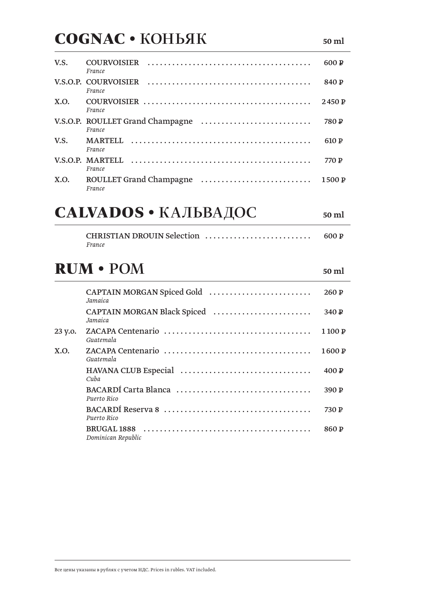## **COGNAC · KOHbAK**

| V.S. | <b>COURVOISIER</b><br>France                                                                                              | 600 P  |
|------|---------------------------------------------------------------------------------------------------------------------------|--------|
|      | France                                                                                                                    | 840 P  |
| X.O. | France                                                                                                                    | 2450 P |
|      | France                                                                                                                    | 780 P  |
| V.S. | <b>MARTELL</b><br>France                                                                                                  | 610 P  |
|      | $V.S.O.P.$ MARTELL $\ldots \ldots \ldots \ldots \ldots \ldots \ldots \ldots \ldots \ldots \ldots \ldots \ldots$<br>France | 770 P  |
| X.O. | ROULLET Grand Champagne<br>France                                                                                         | 1500P  |

# САLVADOS • КАЛЬВАДОС

| CHRISTIAN DROUIN Selection | 600 P |
|----------------------------|-------|
| France                     |       |

### **RUM · POM**

|         | Jamaica                                | 260P   |
|---------|----------------------------------------|--------|
|         | CAPTAIN MORGAN Black Spiced<br>Jamaica | 340P   |
| 23 y.o. | Guatemala                              | 1100 P |
| X.O.    | Guatemala                              | 1600 P |
|         | Cuba                                   | 400P   |
|         | Puerto Rico                            | 390P   |
|         | Puerto Rico                            | 730 P  |
|         | Dominican Republic                     | 860 P  |

50 ml

50 ml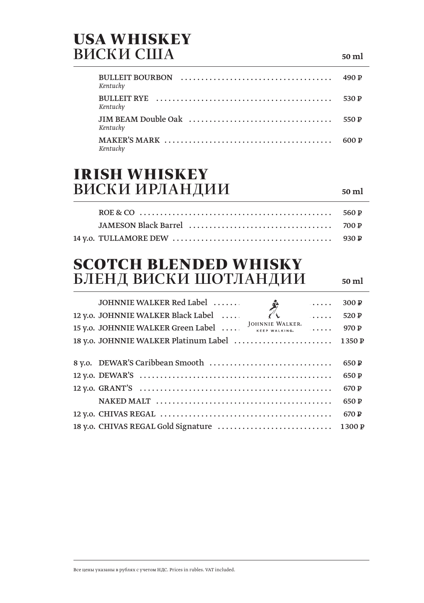#### **USA WHISKEY ВИСКИ США**

| BULLEIT BOURBON $\ldots \ldots \ldots \ldots \ldots \ldots \ldots \ldots \ldots \ldots$<br>Kentucky                      |       |
|--------------------------------------------------------------------------------------------------------------------------|-------|
| Kentuckv                                                                                                                 | 530 P |
| Kentucky                                                                                                                 | 550 P |
| MAKER'S MARK $\ldots$ $\ldots$ $\ldots$ $\ldots$ $\ldots$ $\ldots$ $\ldots$ $\ldots$ $\ldots$ $\ldots$ 600 P<br>Kentucky |       |

#### **IRISH WHISKEY** ВИСКИ ИРЛАНДИИ

 $50 \text{ ml}$ 

 $50 \text{ ml}$ 

#### **SCOTCH BLENDED WHISKY** БЛЕНД ВИСКИ ШОТЛАНДИИ

JOHNNIE WALKER Red Label ...... 300 P . . . . . 12 y.o. JOHNNIE WALKER Black Label .... 520 P  $\overline{a}$   $\overline{a}$   $\overline{a}$   $\overline{a}$   $\overline{a}$ JOHNNIE WALKER 15 y.o. JOHNNIE WALKER Green Label ....  $970P$ KEEP WALKING  $\overline{1}$  .  $\overline{1}$  .  $\overline{1}$ 18 y.o. JOHNNIE WALKER Platinum Label ........................ 1350 P 650 P 650 P 670 P 650 P 670 P 18 v.o. CHIVAS REGAL Gold Signature ............................... 1300 P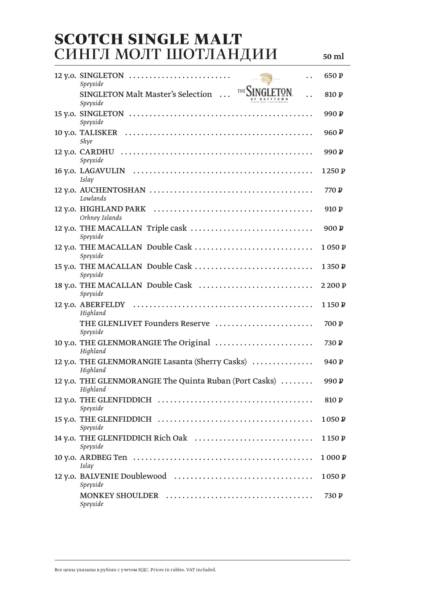#### **SCOTCH SINGLE MALT** СИНГЛ МОЛТ ШОТЛАНДИИ

50 ml

| $12$ y.o. SINGLETON<br>$\cdots \triangle$<br>Speyside              | 650 P            |
|--------------------------------------------------------------------|------------------|
| THE SINGLETON.<br>SINGLETON Malt Master's Selection<br>Speyside    | 810 P            |
| Speyside                                                           | 990 P            |
| Skye                                                               | 960 $P$          |
| Speyside                                                           | 990 P            |
| Islay                                                              | 1250 P           |
| Lowlands                                                           | 770 P            |
| Orkney Islands                                                     | 910P             |
| 12 y.o. THE MACALLAN Triple cask<br>Speyside                       | 900P             |
| 12 y.o. THE MACALLAN Double Cask<br>Speyside                       | 1050 P           |
| 15 y.o. THE MACALLAN Double Cask<br>Speyside                       | 1350 P           |
| 18 y.o. THE MACALLAN Double Cask<br>Speyside                       | 2200P            |
| Highland                                                           | 1150 P           |
| THE GLENLIVET Founders Reserve<br>Speyside                         | 700 P            |
| 10 y.o. THE GLENMORANGIE The Original<br>Highland                  | 730 P            |
| 12 y.o. THE GLENMORANGIE Lasanta (Sherry Casks)<br>Highland        | 940 P            |
| 12 y.o. THE GLENMORANGIE The Quinta Ruban (Port Casks)<br>Highland | 990 <sub>P</sub> |
| 12 y.o. THE GLENFIDDICH<br>Speyside                                | 810 P            |
| Speyside                                                           | 1050 P           |
| Speyside                                                           | 1150 P           |
| Islay                                                              | 1000P            |
| Speyside                                                           | 1050 P           |
| Speyside                                                           | 730 P            |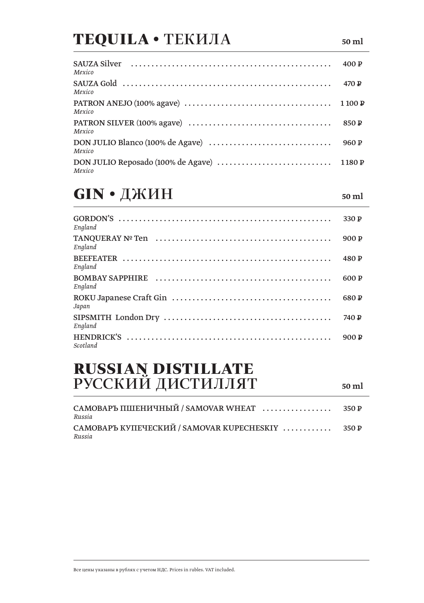# **TEQUILA • ТЕКИЛА**

| Mexico                                                                                                                    |      |
|---------------------------------------------------------------------------------------------------------------------------|------|
| SAUZA Gold $\dots\dots\dots\dots\dots\dots\dots\dots\dots\dots\dots\dots\dots\dots\dots$<br>Mexico                        |      |
| PATRON ANEJO (100% agave) $\dots\dots\dots\dots\dots\dots\dots\dots\dots\dots\dots\dots\dots\dots\dots 1$ 100 P<br>Mexico |      |
| Mexico                                                                                                                    | 850P |
| Mexico                                                                                                                    | 960P |
| DON JULIO Reposado (100% de Agave) $\dots\dots\dots\dots\dots\dots\dots\dots\dots\dots$ 1180 P<br>Mexico                  |      |

#### **GIN** • ДЖИН

50 ml

50 ml

| England  | 330P  |
|----------|-------|
| England  | 900P  |
| England  | 480P  |
| England  | 600P  |
| Japan    | 680 P |
| England  | 740 P |
| Scotland | 900P  |

# RUSSIAN DISTILLATE<br>РУССКИЙ ДИСТИЛЛЯТ

| Russia                                                     |  |
|------------------------------------------------------------|--|
| САМОВАРЪ КУПЕЧЕСКИЙ / SAMOVAR KUPECHESKIY  350 P<br>Russia |  |
|                                                            |  |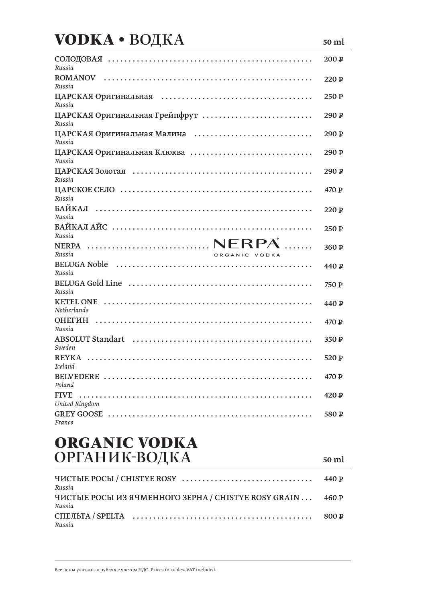# **VODKA • ВОДКА**

| Russia                                   | 200 <sub>P</sub> |
|------------------------------------------|------------------|
| ROMANOV<br>Russia                        | 220P             |
| Russia                                   | 250P             |
| ЦАРСКАЯ Оригинальная Грейпфрут<br>Russia | 290 P            |
| ЦАРСКАЯ Оригинальная Малина<br>Russia    | 290 <sub>P</sub> |
| ЦАРСКАЯ Оригинальная Клюква<br>Russia    | 290 <sub>P</sub> |
| Russia                                   | 290 P            |
| Russia                                   | 470P             |
| Russia                                   | 220P             |
| Russia                                   | 250P             |
|                                          |                  |
|                                          | 360 P            |
| Russia<br>ORGANIC VODKA                  |                  |
| Russia                                   | 440 P            |
| Russia                                   | 750 P            |
| <b>Netherlands</b>                       | 440 P            |
| ОНЕГИН<br>Russia                         | 470P             |
| Sweden                                   | 350P             |
| <b>Iceland</b>                           | 520 P            |
|                                          | 470 P            |
| Poland<br><b>FIVE</b>                    | 420 P            |
| United Kingdom                           |                  |
| France                                   | 580 P            |

50 ml

#### **ORGANIC VODKA**  $ODIAHIJK-ROIKA$

| ОРГАНИК-ВОДКА                                                        | 50 ml |
|----------------------------------------------------------------------|-------|
| Russia                                                               | 440 P |
| ЧИСТЫЕ РОСЫ ИЗ ЯЧМЕННОГО ЗЕРНА / CHISTYE ROSY GRAIN  460 P<br>Russia |       |
| Russia                                                               | 800 P |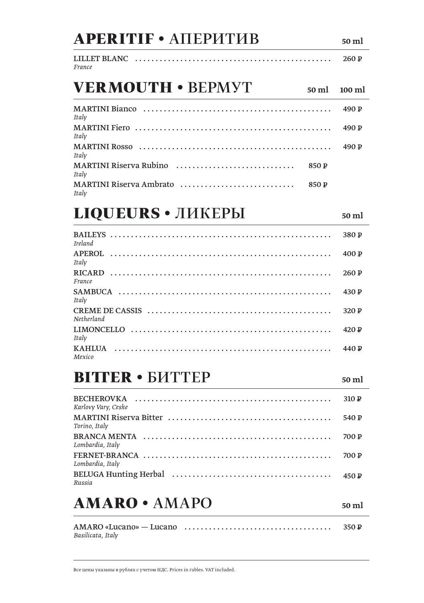| <b>APERITIF • АПЕРИТИВ</b>                | 50 ml            |
|-------------------------------------------|------------------|
| LILLET BLANC<br>France                    | 260P             |
| <b>VERMOUTH • BEPMYT</b><br>50 ml         | $100 \text{ ml}$ |
| Italy                                     | 490 $\mathbb{P}$ |
| Italy                                     | 490 $P$          |
| Italy                                     | 490 $\mathbb{P}$ |
| MARTINI Riserva Rubino<br>850 P<br>Italy  |                  |
| MARTINI Riserva Ambrato<br>850 P<br>Italy |                  |
| <b>LIQUEURS</b> • ЛИКЕРЫ                  | 50 ml            |
| Ireland                                   | 380P             |
| <b>APEROL</b><br>Italy                    | 400 P            |
| <b>RICARD</b><br>France                   | 260 P            |
| <b>SAMBUCA</b><br>Italy                   | 430 P            |
| Netherland                                | 320P             |
| Italy                                     | 420 P            |
| <b>KAHLUA</b><br>Mexico                   | 440 P            |
| <b>BITTER • БИТТЕР</b>                    | 50 ml            |

#### 310 P Karlovy Vary, Ceske 540 P Torino, Italy 700 P Lombardia, Italy 700 P Lombardia, Italy 450 P Russia

## **AMARO · AMAPO**

350 P Basilicata, Italy

50 ml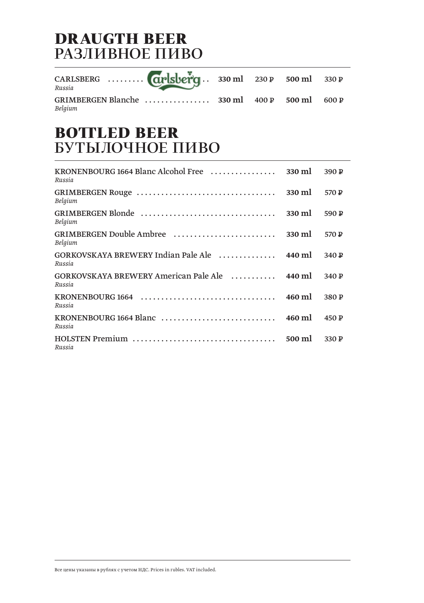#### **DRAUGTH BEER** РАЗЛИВНОЕ ПИВО

| CARLSBERG <b>CIPISUEPT</b> . 330 ml 230 P 500 ml 330 P<br>Russia |  |  |
|------------------------------------------------------------------|--|--|
| Belgium                                                          |  |  |

#### **BOTTLED BEER** БУТЫЛОЧНОЕ ПИВО

| KRONENBOURG 1664 Blanc Alcohol Free<br>Russia                                    | 330 ml | 390 P |
|----------------------------------------------------------------------------------|--------|-------|
| Belgium                                                                          | 330 ml | 570 P |
| Belgium                                                                          | 330 ml | 590 P |
| GRIMBERGEN Double Ambree<br>Belgium                                              | 330 ml | 570 P |
| GORKOVSKAYA BREWERY Indian Pale Ale  440 ml<br>Russia                            |        | 340 P |
| GORKOVSKAYA BREWERY American Pale Ale  440 ml<br>Russia                          |        | 340 P |
| Russia                                                                           | 460 ml | 380 P |
| KRONENBOURG 1664 Blanc $\dots\dots\dots\dots\dots\dots\dots\dots\dots$<br>Russia | 460 ml | 450P  |
| Russia                                                                           | 500 ml | 330P  |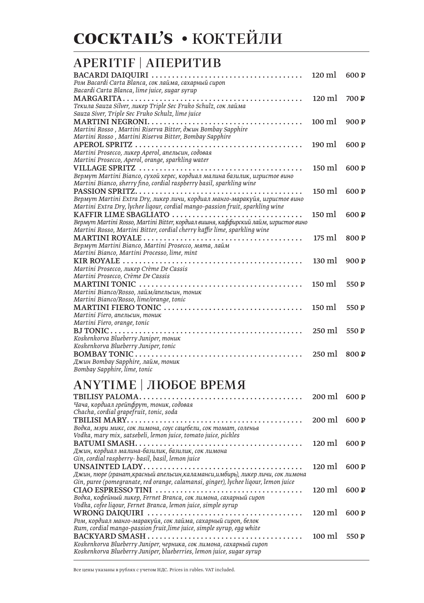#### **APERITIF | AIIEPHTHB**

| Ром Bacardi Carta Blanca, сок лайма, сахарный сироп                                 | $120 \text{ ml}$ | 600 P            |
|-------------------------------------------------------------------------------------|------------------|------------------|
| Bacardi Carta Blanca, lime juice, sugar syrup                                       |                  |                  |
| MARGARITA                                                                           | $120 \text{ ml}$ | 700 P            |
| Текила Sauza Silver, ликер Triple Sec Fruko Schulz, сок лайма                       |                  |                  |
| Sauza Siver, Triple Sec Fruko Schulz, lime juice                                    |                  |                  |
| <b>MARTINI NEGRONI.</b>                                                             | $100 \text{ ml}$ | 900P             |
| Martini Rosso, Martini Riserva Bitter, джин Bombay Sapphire                         |                  |                  |
| Martini Rosso, Martini Riserva Bitter, Bombay Sapphire                              |                  |                  |
|                                                                                     | $190 \text{ ml}$ | 600 P            |
| Martini Prosecco, ликер Aperol, апельсин, содовая                                   |                  |                  |
| Martini Prosecco, Aperol, orange, sparkling water                                   |                  |                  |
|                                                                                     | $150 \text{ ml}$ | 600 P            |
| Вермут Martini Bianco, сухой херес, кордиал малина базилик, игристое вино           |                  |                  |
| Martini Bianco, sherry fino, cordial raspberry basil, sparkling wine                |                  |                  |
|                                                                                     | $150 \text{ ml}$ | 600 P            |
| Вермут Martini Extra Dry, ликер личи, кордиал манго-маракуйя, игристое вино         |                  |                  |
| Martini Extra Dry, lychee liqour, cordial mango-passion fruit, sparkling wine       |                  |                  |
| KAFFIR LIME SBAGLIATO                                                               | $150 \text{ ml}$ | 600 P            |
| Вермут Martini Rosso, Martini Bitter, кордиал вишня, каффирский лайм, игристое вино |                  |                  |
| Martini Rosso, Martini Bitter, cordial cherry kaffir lime, sparkling wine           |                  |                  |
|                                                                                     | $175 \text{ ml}$ | 800 P            |
| Вермут Martini Bianco, Martini Prosecco, мята, лайм                                 |                  |                  |
| Martini Bianco, Martini Processo, lime, mint                                        |                  |                  |
|                                                                                     | $130 \text{ ml}$ | 900P             |
| Martini Prosecco, ликер Crème De Cassis                                             |                  |                  |
| Martini Prosecco, Crème De Cassis                                                   |                  |                  |
|                                                                                     | $150 \text{ ml}$ | 550 P            |
| Martini Bianco/Rosso, лайм/апельсин, тоник                                          |                  |                  |
| Martini Bianco/Rosso, lime/orange, tonic                                            |                  |                  |
|                                                                                     | $150 \text{ ml}$ | 550 P            |
| Martini Fiero, апельсин, тоник                                                      |                  |                  |
| Martini Fiero, orange, tonic                                                        |                  |                  |
|                                                                                     | $250$ ml         | 550 $P$          |
| Koskenkorva Blueberry Juniper, тоник                                                |                  |                  |
| Koskenkorva Blueberry Juniper, tonic                                                |                  |                  |
|                                                                                     | $250 \text{ ml}$ | 800 <sub>P</sub> |
| Джин Bombay Sapphire, лайм, тоник                                                   |                  |                  |
| Bombay Sapphire, lime, tonic                                                        |                  |                  |

#### **АНҮТІМЕ | ЛЮБОЕ ВРЕМЯ**

|                                                                                                          | 200 ml                 | 600P  |
|----------------------------------------------------------------------------------------------------------|------------------------|-------|
| Чача, кордиал грейпфрут, тоник, содовая                                                                  |                        |       |
| Chacha, cordial grapefruit, tonic, soda                                                                  |                        |       |
|                                                                                                          | $200 \text{ ml}$ 600 P |       |
| Водка, мэри микс, сок лимона, соус сацебели, сок томат, соленья                                          |                        |       |
| Vodka, mary mix, satsebeli, lemon juice, tomato juice, pickles                                           |                        |       |
|                                                                                                          | $120 \text{ ml}$       | 600 P |
| Джин, кордиал малина-базилик, базилик, сок лимона                                                        |                        |       |
| Gin, cordial raspberry- basil, basil, lemon juice                                                        |                        |       |
| UNSAINTED LADY. $\dots\dots\dots\dots\dots\dots\dots\dots\dots\dots\dots\dots\dots\dots\dots\dots$       | $120 \text{ ml}$       | 600 P |
| Джин, пюре (гранат,красный апельсин,каламанси,имбирь), ликер личи, сок лимона                            |                        |       |
| Gin, puree (pomegranate, red orange, calamansi, ginger), lychee liqour, lemon juice                      |                        |       |
|                                                                                                          | $120 \text{ ml}$       | 600P  |
| Водка, кофейный ликер, Fernet Branca, сок лимона, сахарный сироп                                         |                        |       |
| Vodka, cofee liqour, Fernet Branca, lemon juice, simple syrup                                            |                        |       |
|                                                                                                          | $120 \text{ m}$        | 600 P |
| Ром, кордиал манго-маракуйя, сок лайма, сахарный сироп, белок                                            |                        |       |
| Rum, cordial mango-passion fruit, lime juice, simple syrup, egg white                                    |                        |       |
| $\text{BACKYARD}$ SMASH $\ldots, \ldots, \ldots, \ldots, \ldots, \ldots, \ldots, \ldots, \ldots, \ldots$ | $100 \text{ ml}$       | 550P  |
| Koskenkorva Blueberry Juniper, черника, сок лимона, сахарный сироп                                       |                        |       |
| Koskenkorva Blueberry Juniper, blueberries, lemon juice, sugar syrup                                     |                        |       |
|                                                                                                          |                        |       |

Все цены указаны в рублях с учетом НДС. Prices in rubles. VAT included.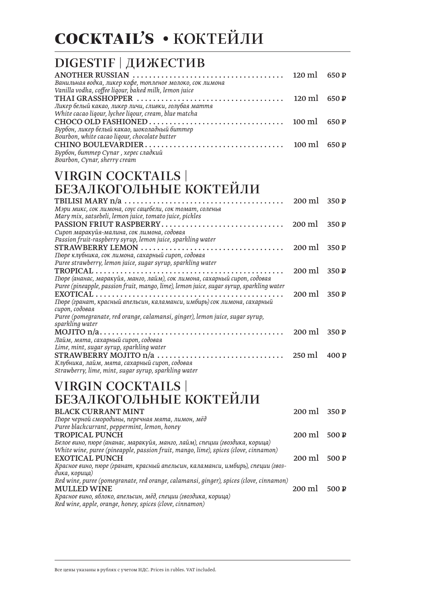# **COCKTAIL'S • КОКТЕЙЛИ**

#### DIGESTIF | ДИЖЕСТИВ

| Ванильная водка, ликер кофе, топленое молоко, сок лимона |  |
|----------------------------------------------------------|--|
| Vanilla vodka, coffee liqour, baked milk, lemon juice    |  |
|                                                          |  |
| Ликер белый какао, ликер личи, сливки, голубая маття     |  |
| White cacao liqour, lychee liqour, cream, blue matcha    |  |
|                                                          |  |
| Бурбон, ликер белый какао, шоколадный биттер             |  |
| Bourbon, white cacao ligour, chocolate butter            |  |
|                                                          |  |
| Бурбон, биттер Супаг, херес сладкий                      |  |
| Bourbon, Cynar, sherry cream                             |  |

#### **VIRGIN COCKTAILS |** БЕЗАЛКОГОЛЬНЫЕ КОКТЕЙЛИ

|                                                                                          | $200 \text{ ml}$ | 350P |
|------------------------------------------------------------------------------------------|------------------|------|
| Мэри микс, сок лимона, соус сацебели, сок томат, соленья                                 |                  |      |
| Mary mix, satsebeli, lemon juice, tomato juice, pickles                                  |                  |      |
| PASSION FRIUT RASPBERRY                                                                  | $200 \text{ ml}$ | 350P |
| Сироп маракуйя-малина, сок лимона, содовая                                               |                  |      |
| Passion fruit-raspberry syrup, lemon juice, sparkling water                              |                  |      |
|                                                                                          | $200 \text{ ml}$ | 350P |
| Пюре клубника, сок лимона, сахарный сироп, содовая                                       |                  |      |
| Puree strawberry, lemon juice, sugar syrup, sparkling water                              |                  |      |
|                                                                                          | 200 ml           | 350P |
| Пюре (ананас, маракуйя, манго, лайм), сок лимона, сахарный сироп, содовая                |                  |      |
| Puree (pineapple, passion fruit, mango, lime), lemon juice, sugar syrup, sparkling water |                  |      |
|                                                                                          | $200 \text{ ml}$ | 350P |
| Пюре (гранат, красный апельсин, каламанси, имбирь) сок лимона, сахарный                  |                  |      |
| сироп, содовая                                                                           |                  |      |
| Puree (pomegranate, red orange, calamansi, ginger), lemon juice, sugar syrup,            |                  |      |
| sparkling water                                                                          |                  |      |
|                                                                                          | $200$ ml         | 350P |
| Лайм, мята, сахарный сироп, содовая                                                      |                  |      |
| Lime, mint, sugar syrup, sparkling water                                                 |                  |      |
| STRAWBERRY MOJITO n/a                                                                    | $250 \text{ ml}$ | 400P |
| Клубника, лайм, мята, сахарный сироп, содовая                                            |                  |      |
| Strawberry, lime, mint, sugar syrup, sparkling water                                     |                  |      |
|                                                                                          |                  |      |

#### **VIRGIN COCKTAILS |** БЕЗАЛКОГОЛЬНЫЕ КОКТЕЙЛИ

| <b>BLACK CURRANT MINT</b>                                                              | $200 \text{ ml}$ 350 P |  |
|----------------------------------------------------------------------------------------|------------------------|--|
| Пюре черной смородины, перечная мята, лимон, мёд                                       |                        |  |
| Puree blackcurrant, peppermint, lemon, honey                                           |                        |  |
| <b>TROPICAL PUNCH</b>                                                                  | $200 \text{ ml}$ 500 P |  |
| Белое вино, пюре (ананас, маракуйя, манго, лайм), специи (гвоздика, корица)            |                        |  |
| White wine, puree (pineapple, passion fruit, mango, lime), spices (clove, cinnamon)    |                        |  |
| <b>EXOTICAL PUNCH</b>                                                                  | $200 \text{ ml}$ 500 P |  |
| Красное вино, пюре (гранат, красный апельсин, каламанси, имбирь), специи (гвоз-        |                        |  |
| дика, корица)                                                                          |                        |  |
| Red wine, puree (pomegranate, red orange, calamansi, ginger), spices (clove, cinnamon) |                        |  |
| <b>MULLED WINE</b>                                                                     | $200 \text{ m}$ 500 P  |  |
| Красное вино, яблоко, апельсин, мёд, специи (гвоздика, корица)                         |                        |  |
| Red wine, apple, orange, honey, spices (clove, cinnamon)                               |                        |  |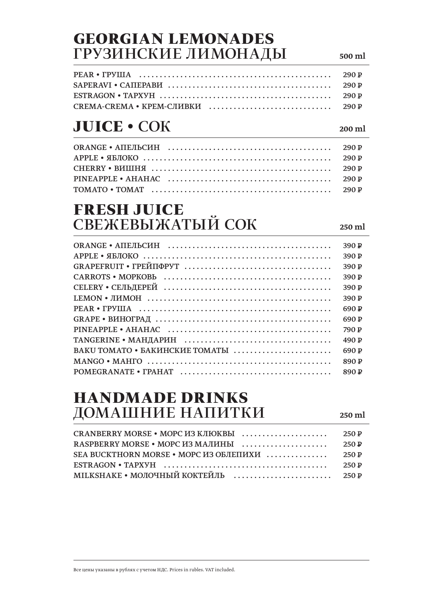#### **GEORGIAN LEMONADES** ГРУЗИНСКИЕ ЛИМОНАДЫ

# **JUICE · COK**

#### **FRESH JUICE** СВЕЖЕВЫЖАТЫЙ СОК

390 P  $APPLE \cdot SBJOKO$  $390P$ 390 P 390 P 390 P 390 P 690 P 690 P 790 P 490 P BAKU TOMATO • БАКИНСКИЕ ТОМАТЫ ....................... 690 P 890<sub>P</sub> 890<sub>P</sub>

#### **HANDMADE DRINKS** ДОМАШНИЕ НАПИТКИ

250 ml

| SEA BUCKTHORN MORSE • MOPC ИЗ ОБЛЕПИХИ  250 P                                                                        |  |
|----------------------------------------------------------------------------------------------------------------------|--|
| ESTRAGON • TAPXYH $\ldots \ldots \ldots \ldots \ldots \ldots \ldots \ldots \ldots \ldots \ldots \ldots \ldots$ 250 P |  |
|                                                                                                                      |  |

500 ml

 $200 \text{ ml}$ 

 $250 \text{ ml}$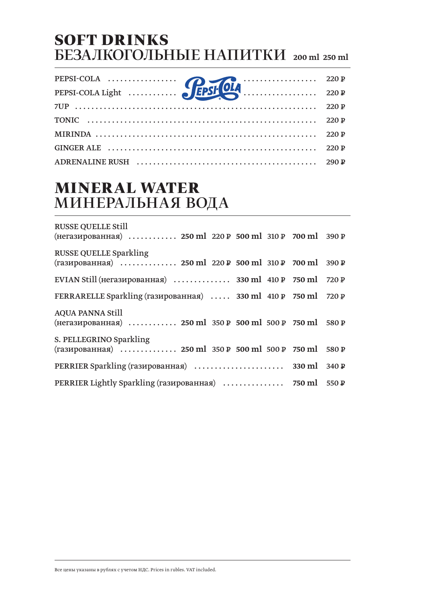#### **SOFT DRINKS** БЕЗАЛКОГОЛЬНЫЕ НАПИТКИ 200 ml 250 ml

#### **MINERAL WATER** МИНЕРАЛЬНАЯ ВОДА

| <b>RUSSE QUELLE Still</b><br>(негазированная)  250 ml 220 P 500 ml 310 P 700 ml 390 P   |       |
|-----------------------------------------------------------------------------------------|-------|
| <b>RUSSE QUELLE Sparkling</b><br>(газированная)  250 ml 220 P 500 ml 310 P 700 ml 390 P |       |
| EVIAN Still (негазированная)  330 ml $410P$ 750 ml 720 P                                |       |
| FERRARELLE Sparkling (газированная)  330 ml 410 P 750 ml 720 P                          |       |
| <b>AQUA PANNA Still</b><br>(негазированная)  250 ml 350 P 500 ml 500 P 750 ml 580 P     |       |
| S. PELLEGRINO Sparkling<br>(газированная)  250 ml 350 P 500 ml 500 P 750 ml 580 P       |       |
|                                                                                         |       |
| PERRIER Lightly Sparkling (газированная)  750 ml                                        | 550 P |